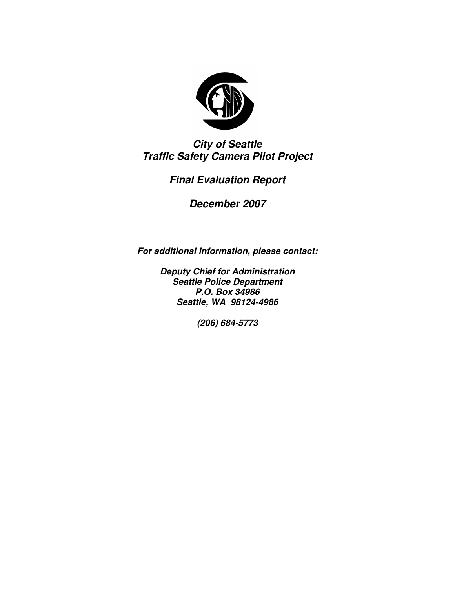

*City of Seattle Traffic Safety Camera Pilot Project*

# *Final Evaluation Report*

*December 2007*

*For additional information, please contact:*

*Deputy Chief for Administration Seattle Police Department P.O. Box 34986 Seattle, WA 98124-4986*

*(206) 684-5773*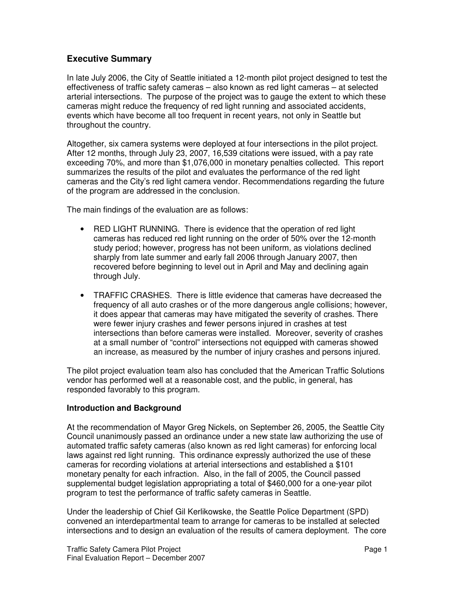# **Executive Summary**

In late July 2006, the City of Seattle initiated a 12-month pilot project designed to test the effectiveness of traffic safety cameras – also known as red light cameras – at selected arterial intersections. The purpose of the project was to gauge the extent to which these cameras might reduce the frequency of red light running and associated accidents, events which have become all too frequent in recent years, not only in Seattle but throughout the country.

Altogether, six camera systems were deployed at four intersections in the pilot project. After 12 months, through July 23, 2007, 16,539 citations were issued, with a pay rate exceeding 70%, and more than \$1,076,000 in monetary penalties collected. This report summarizes the results of the pilot and evaluates the performance of the red light cameras and the City's red light camera vendor. Recommendations regarding the future of the program are addressed in the conclusion.

The main findings of the evaluation are as follows:

- RED LIGHT RUNNING. There is evidence that the operation of red light cameras has reduced red light running on the order of 50% over the 12-month study period; however, progress has not been uniform, as violations declined sharply from late summer and early fall 2006 through January 2007, then recovered before beginning to level out in April and May and declining again through July.
- TRAFFIC CRASHES. There is little evidence that cameras have decreased the frequency of all auto crashes or of the more dangerous angle collisions; however, it does appear that cameras may have mitigated the severity of crashes. There were fewer injury crashes and fewer persons injured in crashes at test intersections than before cameras were installed. Moreover, severity of crashes at a small number of "control" intersections not equipped with cameras showed an increase, as measured by the number of injury crashes and persons injured.

The pilot project evaluation team also has concluded that the American Traffic Solutions vendor has performed well at a reasonable cost, and the public, in general, has responded favorably to this program.

## **Introduction and Background**

At the recommendation of Mayor Greg Nickels, on September 26, 2005, the Seattle City Council unanimously passed an ordinance under a new state law authorizing the use of automated traffic safety cameras (also known as red light cameras) for enforcing local laws against red light running. This ordinance expressly authorized the use of these cameras for recording violations at arterial intersections and established a \$101 monetary penalty for each infraction. Also, in the fall of 2005, the Council passed supplemental budget legislation appropriating a total of \$460,000 for a one-year pilot program to test the performance of traffic safety cameras in Seattle.

Under the leadership of Chief Gil Kerlikowske, the Seattle Police Department (SPD) convened an interdepartmental team to arrange for cameras to be installed at selected intersections and to design an evaluation of the results of camera deployment. The core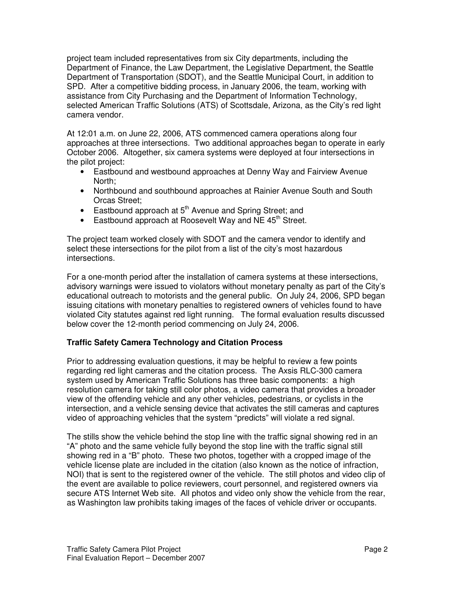project team included representatives from six City departments, including the Department of Finance, the Law Department, the Legislative Department, the Seattle Department of Transportation (SDOT), and the Seattle Municipal Court, in addition to SPD. After a competitive bidding process, in January 2006, the team, working with assistance from City Purchasing and the Department of Information Technology, selected American Traffic Solutions (ATS) of Scottsdale, Arizona, as the City's red light camera vendor.

At 12:01 a.m. on June 22, 2006, ATS commenced camera operations along four approaches at three intersections. Two additional approaches began to operate in early October 2006. Altogether, six camera systems were deployed at four intersections in the pilot project:

- Eastbound and westbound approaches at Denny Way and Fairview Avenue North;
- Northbound and southbound approaches at Rainier Avenue South and South Orcas Street;
- Eastbound approach at 5<sup>th</sup> Avenue and Spring Street; and
- Eastbound approach at Roosevelt Way and NE 45<sup>th</sup> Street.

The project team worked closely with SDOT and the camera vendor to identify and select these intersections for the pilot from a list of the city's most hazardous intersections.

For a one-month period after the installation of camera systems at these intersections, advisory warnings were issued to violators without monetary penalty as part of the City's educational outreach to motorists and the general public. On July 24, 2006, SPD began issuing citations with monetary penalties to registered owners of vehicles found to have violated City statutes against red light running. The formal evaluation results discussed below cover the 12-month period commencing on July 24, 2006.

#### **Traffic Safety Camera Technology and Citation Process**

Prior to addressing evaluation questions, it may be helpful to review a few points regarding red light cameras and the citation process. The Axsis RLC-300 camera system used by American Traffic Solutions has three basic components: a high resolution camera for taking still color photos, a video camera that provides a broader view of the offending vehicle and any other vehicles, pedestrians, or cyclists in the intersection, and a vehicle sensing device that activates the still cameras and captures video of approaching vehicles that the system "predicts" will violate a red signal.

The stills show the vehicle behind the stop line with the traffic signal showing red in an "A" photo and the same vehicle fully beyond the stop line with the traffic signal still showing red in a "B" photo. These two photos, together with a cropped image of the vehicle license plate are included in the citation (also known as the notice of infraction, NOI) that is sent to the registered owner of the vehicle. The still photos and video clip of the event are available to police reviewers, court personnel, and registered owners via secure ATS Internet Web site. All photos and video only show the vehicle from the rear, as Washington law prohibits taking images of the faces of vehicle driver or occupants.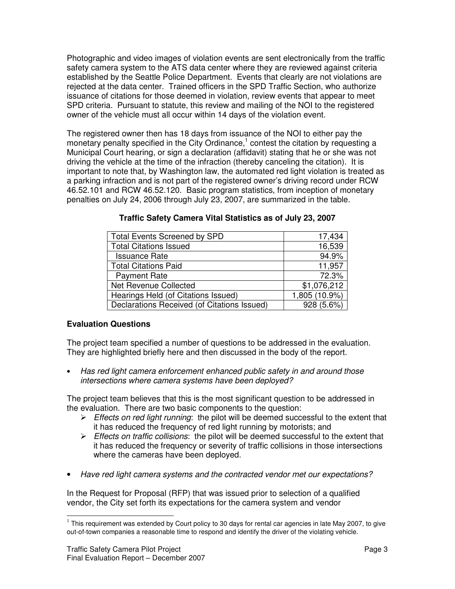Photographic and video images of violation events are sent electronically from the traffic safety camera system to the ATS data center where they are reviewed against criteria established by the Seattle Police Department. Events that clearly are not violations are rejected at the data center. Trained officers in the SPD Traffic Section, who authorize issuance of citations for those deemed in violation, review events that appear to meet SPD criteria. Pursuant to statute, this review and mailing of the NOI to the registered owner of the vehicle must all occur within 14 days of the violation event.

The registered owner then has 18 days from issuance of the NOI to either pay the monetary penalty specified in the City Ordinance,<sup>1</sup> contest the citation by requesting a Municipal Court hearing, or sign a declaration (affidavit) stating that he or she was not driving the vehicle at the time of the infraction (thereby canceling the citation). It is important to note that, by Washington law, the automated red light violation is treated as a parking infraction and is not part of the registered owner's driving record under RCW 46.52.101 and RCW 46.52.120. Basic program statistics, from inception of monetary penalties on July 24, 2006 through July 23, 2007, are summarized in the table.

| <b>Total Events Screened by SPD</b>         | 17,434        |
|---------------------------------------------|---------------|
| <b>Total Citations Issued</b>               | 16,539        |
| <b>Issuance Rate</b>                        | 94.9%         |
| <b>Total Citations Paid</b>                 | 11,957        |
| <b>Payment Rate</b>                         | 72.3%         |
| <b>Net Revenue Collected</b>                | \$1,076,212   |
| Hearings Held (of Citations Issued)         | 1,805 (10.9%) |
| Declarations Received (of Citations Issued) | 928 (5.6%)    |

| Traffic Safety Camera Vital Statistics as of July 23, 2007 |  |  |  |
|------------------------------------------------------------|--|--|--|
|------------------------------------------------------------|--|--|--|

## **Evaluation Questions**

The project team specified a number of questions to be addressed in the evaluation. They are highlighted briefly here and then discussed in the body of the report.

• *Has red light camera enforcement enhanced public safety in and around those intersections where camera systems have been deployed?*

The project team believes that this is the most significant question to be addressed in the evaluation. There are two basic components to the question:

- *Effects on red light running*: the pilot will be deemed successful to the extent that it has reduced the frequency of red light running by motorists; and
- *Effects on traffic collisions*: the pilot will be deemed successful to the extent that it has reduced the frequency or severity of traffic collisions in those intersections where the cameras have been deployed.
- *Have red light camera systems and the contracted vendor met our expectations?*

In the Request for Proposal (RFP) that was issued prior to selection of a qualified vendor, the City set forth its expectations for the camera system and vendor

 $1$  This requirement was extended by Court policy to 30 days for rental car agencies in late May 2007, to give out-of-town companies a reasonable time to respond and identify the driver of the violating vehicle.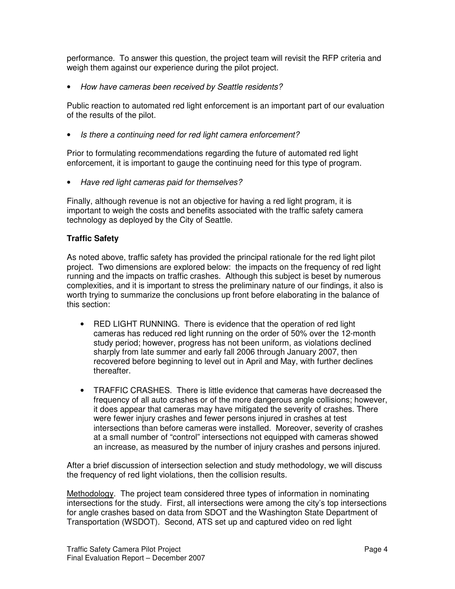performance. To answer this question, the project team will revisit the RFP criteria and weigh them against our experience during the pilot project.

• *How have cameras been received by Seattle residents?*

Public reaction to automated red light enforcement is an important part of our evaluation of the results of the pilot.

• *Is there a continuing need for red light camera enforcement?*

Prior to formulating recommendations regarding the future of automated red light enforcement, it is important to gauge the continuing need for this type of program.

• *Have red light cameras paid for themselves?*

Finally, although revenue is not an objective for having a red light program, it is important to weigh the costs and benefits associated with the traffic safety camera technology as deployed by the City of Seattle.

### **Traffic Safety**

As noted above, traffic safety has provided the principal rationale for the red light pilot project. Two dimensions are explored below: the impacts on the frequency of red light running and the impacts on traffic crashes. Although this subject is beset by numerous complexities, and it is important to stress the preliminary nature of our findings, it also is worth trying to summarize the conclusions up front before elaborating in the balance of this section:

- RED LIGHT RUNNING. There is evidence that the operation of red light cameras has reduced red light running on the order of 50% over the 12-month study period; however, progress has not been uniform, as violations declined sharply from late summer and early fall 2006 through January 2007, then recovered before beginning to level out in April and May, with further declines thereafter.
- TRAFFIC CRASHES. There is little evidence that cameras have decreased the frequency of all auto crashes or of the more dangerous angle collisions; however, it does appear that cameras may have mitigated the severity of crashes. There were fewer injury crashes and fewer persons injured in crashes at test intersections than before cameras were installed. Moreover, severity of crashes at a small number of "control" intersections not equipped with cameras showed an increase, as measured by the number of injury crashes and persons injured.

After a brief discussion of intersection selection and study methodology, we will discuss the frequency of red light violations, then the collision results.

Methodology. The project team considered three types of information in nominating intersections for the study. First, all intersections were among the city's top intersections for angle crashes based on data from SDOT and the Washington State Department of Transportation (WSDOT). Second, ATS set up and captured video on red light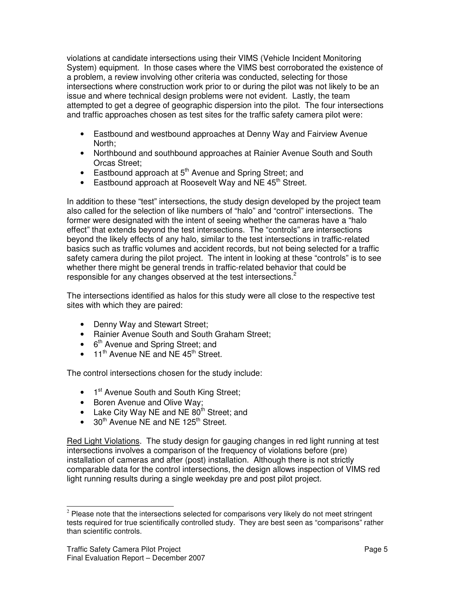violations at candidate intersections using their VIMS (Vehicle Incident Monitoring System) equipment. In those cases where the VIMS best corroborated the existence of a problem, a review involving other criteria was conducted, selecting for those intersections where construction work prior to or during the pilot was not likely to be an issue and where technical design problems were not evident. Lastly, the team attempted to get a degree of geographic dispersion into the pilot. The four intersections and traffic approaches chosen as test sites for the traffic safety camera pilot were:

- Eastbound and westbound approaches at Denny Way and Fairview Avenue North;
- Northbound and southbound approaches at Rainier Avenue South and South Orcas Street;
- Eastbound approach at 5<sup>th</sup> Avenue and Spring Street; and
- Eastbound approach at Roosevelt Way and NE 45<sup>th</sup> Street.

In addition to these "test" intersections, the study design developed by the project team also called for the selection of like numbers of "halo" and "control" intersections. The former were designated with the intent of seeing whether the cameras have a "halo effect" that extends beyond the test intersections. The "controls" are intersections beyond the likely effects of any halo, similar to the test intersections in traffic-related basics such as traffic volumes and accident records, but not being selected for a traffic safety camera during the pilot project. The intent in looking at these "controls" is to see whether there might be general trends in traffic-related behavior that could be responsible for any changes observed at the test intersections.<sup>2</sup>

The intersections identified as halos for this study were all close to the respective test sites with which they are paired:

- Denny Way and Stewart Street;
- Rainier Avenue South and South Graham Street;
- 6<sup>th</sup> Avenue and Spring Street; and
- $\bullet$  11<sup>th</sup> Avenue NE and NE 45<sup>th</sup> Street.

The control intersections chosen for the study include:

- 1<sup>st</sup> Avenue South and South King Street;
- Boren Avenue and Olive Way;
- Lake City Way NE and NE 80<sup>th</sup> Street; and
- 30<sup>th</sup> Avenue NE and NE 125<sup>th</sup> Street.

Red Light Violations. The study design for gauging changes in red light running at test intersections involves a comparison of the frequency of violations before (pre) installation of cameras and after (post) installation. Although there is not strictly comparable data for the control intersections, the design allows inspection of VIMS red light running results during a single weekday pre and post pilot project.

 $2$  Please note that the intersections selected for comparisons very likely do not meet stringent tests required for true scientifically controlled study. They are best seen as "comparisons" rather than scientific controls.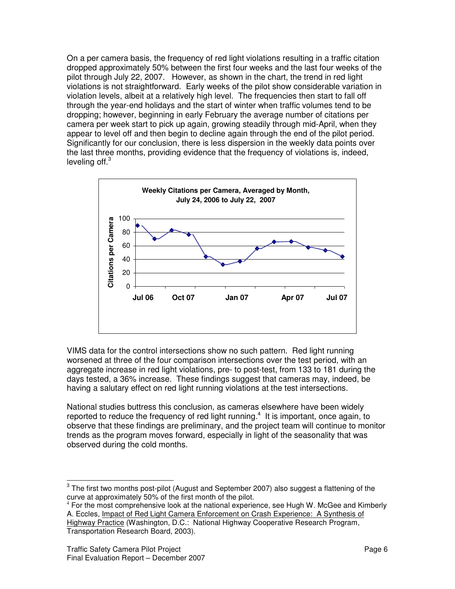On a per camera basis, the frequency of red light violations resulting in a traffic citation dropped approximately 50% between the first four weeks and the last four weeks of the pilot through July 22, 2007. However, as shown in the chart, the trend in red light violations is not straightforward. Early weeks of the pilot show considerable variation in violation levels, albeit at a relatively high level. The frequencies then start to fall off through the year-end holidays and the start of winter when traffic volumes tend to be dropping; however, beginning in early February the average number of citations per camera per week start to pick up again, growing steadily through mid-April, when they appear to level off and then begin to decline again through the end of the pilot period. Significantly for our conclusion, there is less dispersion in the weekly data points over the last three months, providing evidence that the frequency of violations is, indeed, leveling off.<sup>3</sup>



VIMS data for the control intersections show no such pattern. Red light running worsened at three of the four comparison intersections over the test period, with an aggregate increase in red light violations, pre- to post-test, from 133 to 181 during the days tested, a 36% increase. These findings suggest that cameras may, indeed, be having a salutary effect on red light running violations at the test intersections.

National studies buttress this conclusion, as cameras elsewhere have been widely reported to reduce the frequency of red light running.<sup>4</sup> It is important, once again, to observe that these findings are preliminary, and the project team will continue to monitor trends as the program moves forward, especially in light of the seasonality that was observed during the cold months.

 $4$  For the most comprehensive look at the national experience, see Hugh W. McGee and Kimberly A. Eccles, Impact of Red Light Camera Enforcement on Crash Experience: A Synthesis of Highway Practice (Washington, D.C.: National Highway Cooperative Research Program, Transportation Research Board, 2003).

 $^3$  The first two months post-pilot (August and September 2007) also suggest a flattening of the curve at approximately 50% of the first month of the pilot.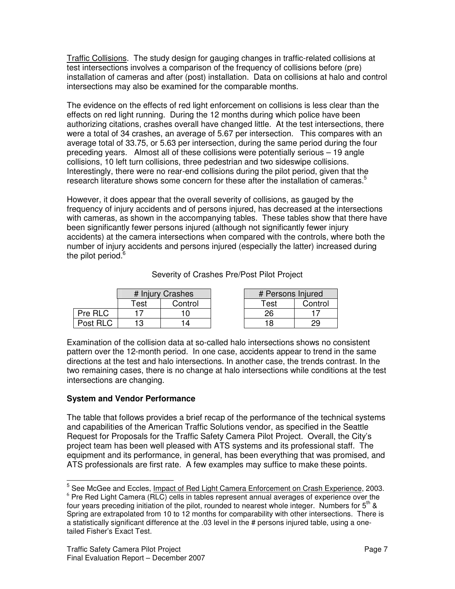Traffic Collisions. The study design for gauging changes in traffic-related collisions at test intersections involves a comparison of the frequency of collisions before (pre) installation of cameras and after (post) installation. Data on collisions at halo and control intersections may also be examined for the comparable months.

The evidence on the effects of red light enforcement on collisions is less clear than the effects on red light running. During the 12 months during which police have been authorizing citations, crashes overall have changed little. At the test intersections, there were a total of 34 crashes, an average of 5.67 per intersection. This compares with an average total of 33.75, or 5.63 per intersection, during the same period during the four preceding years. Almost all of these collisions were potentially serious – 19 angle collisions, 10 left turn collisions, three pedestrian and two sideswipe collisions. Interestingly, there were no rear-end collisions during the pilot period, given that the research literature shows some concern for these after the installation of cameras.<sup>5</sup>

However, it does appear that the overall severity of collisions, as gauged by the frequency of injury accidents and of persons injured, has decreased at the intersections with cameras, as shown in the accompanying tables. These tables show that there have been significantly fewer persons injured (although not significantly fewer injury accidents) at the camera intersections when compared with the controls, where both the number of injury accidents and persons injured (especially the latter) increased during the pilot period.<sup>6</sup>

|          | # Injury Crashes            |         | # Persons Injured |         |
|----------|-----------------------------|---------|-------------------|---------|
|          | $\mathsf{r}_{\mathsf{est}}$ | Control | Test              | Control |
| Pre RLC  |                             |         |                   |         |
| Post RLC | ף ו                         |         |                   |         |

Severity of Crashes Pre/Post Pilot Project

Examination of the collision data at so-called halo intersections shows no consistent pattern over the 12-month period. In one case, accidents appear to trend in the same directions at the test and halo intersections. In another case, the trends contrast. In the two remaining cases, there is no change at halo intersections while conditions at the test intersections are changing.

## **System and Vendor Performance**

The table that follows provides a brief recap of the performance of the technical systems and capabilities of the American Traffic Solutions vendor, as specified in the Seattle Request for Proposals for the Traffic Safety Camera Pilot Project. Overall, the City's project team has been well pleased with ATS systems and its professional staff. The equipment and its performance, in general, has been everything that was promised, and ATS professionals are first rate. A few examples may suffice to make these points.

<sup>&</sup>lt;sup>5</sup> See McGee and Eccles, <u>Impact of Red Light Camera Enforcement on Crash Experience</u>, 2003.

 $6$  Pre Red Light Camera (RLC) cells in tables represent annual averages of experience over the four years preceding initiation of the pilot, rounded to nearest whole integer. Numbers for 5<sup>th</sup> & Spring are extrapolated from 10 to 12 months for comparability with other intersections. There is a statistically significant difference at the .03 level in the # persons injured table, using a onetailed Fisher's Exact Test.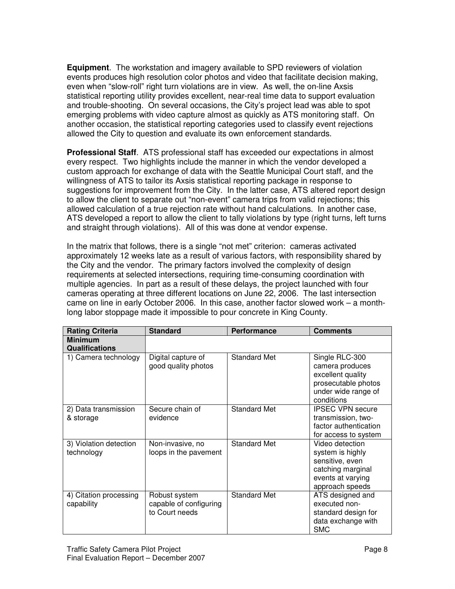**Equipment**. The workstation and imagery available to SPD reviewers of violation events produces high resolution color photos and video that facilitate decision making, even when "slow-roll" right turn violations are in view. As well, the on-line Axsis statistical reporting utility provides excellent, near-real time data to support evaluation and trouble-shooting. On several occasions, the City's project lead was able to spot emerging problems with video capture almost as quickly as ATS monitoring staff. On another occasion, the statistical reporting categories used to classify event rejections allowed the City to question and evaluate its own enforcement standards.

**Professional Staff**. ATS professional staff has exceeded our expectations in almost every respect. Two highlights include the manner in which the vendor developed a custom approach for exchange of data with the Seattle Municipal Court staff, and the willingness of ATS to tailor its Axsis statistical reporting package in response to suggestions for improvement from the City. In the latter case, ATS altered report design to allow the client to separate out "non-event" camera trips from valid rejections; this allowed calculation of a true rejection rate without hand calculations. In another case, ATS developed a report to allow the client to tally violations by type (right turns, left turns and straight through violations). All of this was done at vendor expense.

In the matrix that follows, there is a single "not met" criterion: cameras activated approximately 12 weeks late as a result of various factors, with responsibility shared by the City and the vendor. The primary factors involved the complexity of design requirements at selected intersections, requiring time-consuming coordination with multiple agencies. In part as a result of these delays, the project launched with four cameras operating at three different locations on June 22, 2006. The last intersection came on line in early October 2006. In this case, another factor slowed work – a monthlong labor stoppage made it impossible to pour concrete in King County.

| <b>Rating Criteria</b>                  | <b>Standard</b>                                           | <b>Performance</b>  | <b>Comments</b>                                                                                                     |
|-----------------------------------------|-----------------------------------------------------------|---------------------|---------------------------------------------------------------------------------------------------------------------|
| <b>Minimum</b><br><b>Qualifications</b> |                                                           |                     |                                                                                                                     |
| 1) Camera technology                    | Digital capture of<br>good quality photos                 | <b>Standard Met</b> | Single RLC-300<br>camera produces<br>excellent quality<br>prosecutable photos<br>under wide range of<br>conditions  |
| 2) Data transmission<br>& storage       | Secure chain of<br>evidence                               | <b>Standard Met</b> | <b>IPSEC VPN secure</b><br>transmission, two-<br>factor authentication<br>for access to system                      |
| 3) Violation detection<br>technology    | Non-invasive, no<br>loops in the pavement                 | <b>Standard Met</b> | Video detection<br>system is highly<br>sensitive, even<br>catching marginal<br>events at varying<br>approach speeds |
| 4) Citation processing<br>capability    | Robust system<br>capable of configuring<br>to Court needs | <b>Standard Met</b> | ATS designed and<br>executed non-<br>standard design for<br>data exchange with<br><b>SMC</b>                        |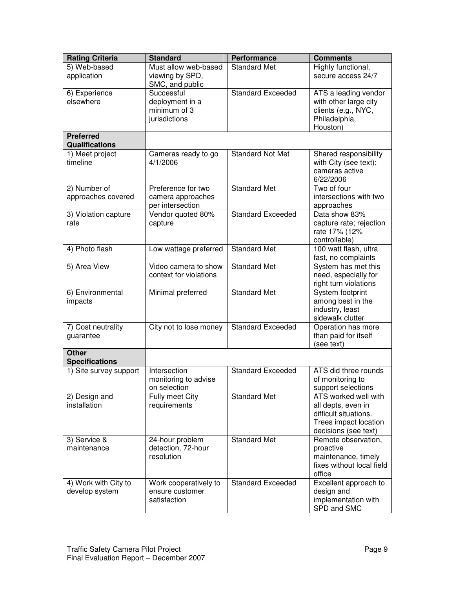| <b>Rating Criteria</b>              | <b>Standard</b>                       | <b>Performance</b>       | <b>Comments</b>                               |
|-------------------------------------|---------------------------------------|--------------------------|-----------------------------------------------|
| 5) Web-based                        | Must allow web-based                  | <b>Standard Met</b>      | Highly functional,                            |
| application                         | viewing by SPD,                       |                          | secure access 24/7                            |
|                                     | SMC, and public                       |                          |                                               |
| 6) Experience                       | Successful                            | <b>Standard Exceeded</b> | ATS a leading vendor                          |
| elsewhere                           | deployment in a                       |                          | with other large city                         |
|                                     | minimum of 3                          |                          | clients (e.g., NYC,                           |
|                                     | jurisdictions                         |                          | Philadelphia,                                 |
| <b>Preferred</b>                    |                                       |                          | Houston)                                      |
| <b>Qualifications</b>               |                                       |                          |                                               |
| 1) Meet project                     | Cameras ready to go                   | <b>Standard Not Met</b>  | Shared responsibility                         |
| timeline                            | 4/1/2006                              |                          | with City (see text);                         |
|                                     |                                       |                          | cameras active                                |
|                                     |                                       |                          | 6/22/2006                                     |
| 2) Number of                        | Preference for two                    | <b>Standard Met</b>      | Two of four<br>intersections with two         |
| approaches covered                  | camera approaches<br>per intersection |                          | approaches                                    |
| 3) Violation capture                | Vendor quoted 80%                     | <b>Standard Exceeded</b> | Data show 83%                                 |
| rate                                | capture                               |                          | capture rate; rejection                       |
|                                     |                                       |                          | rate 17% (12%                                 |
|                                     |                                       |                          | controllable)                                 |
| 4) Photo flash                      | Low wattage preferred                 | <b>Standard Met</b>      | 100 watt flash, ultra                         |
|                                     |                                       |                          | fast, no complaints                           |
| 5) Area View                        | Video camera to show                  | <b>Standard Met</b>      | System has met this                           |
|                                     | context for violations                |                          | need, especially for                          |
|                                     |                                       |                          | right turn violations                         |
| 6) Environmental                    | Minimal preferred                     | <b>Standard Met</b>      | System footprint                              |
| impacts                             |                                       |                          | among best in the                             |
|                                     |                                       |                          | industry, least                               |
|                                     |                                       | <b>Standard Exceeded</b> | sidewalk clutter                              |
| 7) Cost neutrality<br>guarantee     | City not to lose money                |                          | Operation has more<br>than paid for itself    |
|                                     |                                       |                          | (see text)                                    |
| <b>Other</b>                        |                                       |                          |                                               |
| <b>Specifications</b>               |                                       |                          |                                               |
| $\overline{1)}$ Site survey support | Intersection                          | <b>Standard Exceeded</b> | ATS did three rounds                          |
|                                     | monitoring to advise                  |                          | of monitoring to                              |
|                                     | on selection                          |                          | support selections                            |
| 2) Design and                       | Fully meet City                       | <b>Standard Met</b>      | ATS worked well with                          |
| installation                        | requirements                          |                          | all depts, even in                            |
|                                     |                                       |                          | difficult situations.                         |
|                                     |                                       |                          | Trees impact location<br>decisions (see text) |
| 3) Service &                        | 24-hour problem                       | <b>Standard Met</b>      | Remote observation,                           |
| maintenance                         | detection, 72-hour                    |                          | proactive                                     |
|                                     | resolution                            |                          | maintenance, timely                           |
|                                     |                                       |                          | fixes without local field                     |
|                                     |                                       |                          | office                                        |
| 4) Work with City to                | Work cooperatively to                 | <b>Standard Exceeded</b> | Excellent approach to                         |
| develop system                      | ensure customer                       |                          | design and                                    |
|                                     | satisfaction                          |                          | implementation with                           |
|                                     |                                       |                          | SPD and SMC                                   |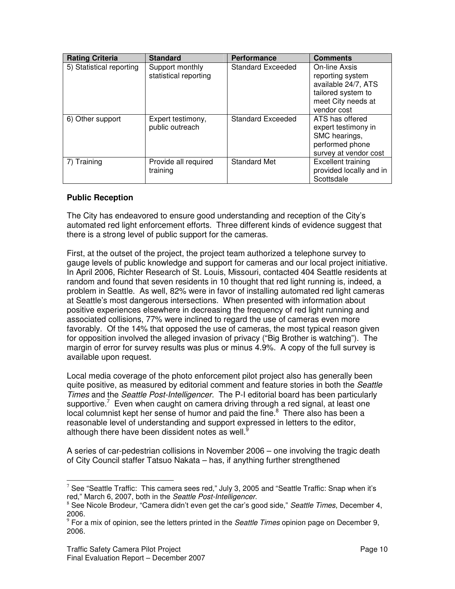| <b>Rating Criteria</b>   | <b>Standard</b>                          | <b>Performance</b>       | <b>Comments</b>                                                                                                     |
|--------------------------|------------------------------------------|--------------------------|---------------------------------------------------------------------------------------------------------------------|
| 5) Statistical reporting | Support monthly<br>statistical reporting | <b>Standard Exceeded</b> | On-line Axsis<br>reporting system<br>available 24/7, ATS<br>tailored system to<br>meet City needs at<br>vendor cost |
| 6) Other support         | Expert testimony,<br>public outreach     | Standard Exceeded        | ATS has offered<br>expert testimony in<br>SMC hearings,<br>performed phone<br>survey at vendor cost                 |
| 7) Training              | Provide all required<br>training         | <b>Standard Met</b>      | Excellent training<br>provided locally and in<br>Scottsdale                                                         |

### **Public Reception**

The City has endeavored to ensure good understanding and reception of the City's automated red light enforcement efforts. Three different kinds of evidence suggest that there is a strong level of public support for the cameras.

First, at the outset of the project, the project team authorized a telephone survey to gauge levels of public knowledge and support for cameras and our local project initiative. In April 2006, Richter Research of St. Louis, Missouri, contacted 404 Seattle residents at random and found that seven residents in 10 thought that red light running is, indeed, a problem in Seattle. As well, 82% were in favor of installing automated red light cameras at Seattle's most dangerous intersections. When presented with information about positive experiences elsewhere in decreasing the frequency of red light running and associated collisions, 77% were inclined to regard the use of cameras even more favorably. Of the 14% that opposed the use of cameras, the most typical reason given for opposition involved the alleged invasion of privacy ("Big Brother is watching"). The margin of error for survey results was plus or minus 4.9%. A copy of the full survey is available upon request.

Local media coverage of the photo enforcement pilot project also has generally been quite positive, as measured by editorial comment and feature stories in both the *Seattle Times* and the *Seattle Post-Intelligencer*. The P-I editorial board has been particularly supportive. $7$  Even when caught on camera driving through a red signal, at least one local columnist kept her sense of humor and paid the fine.<sup>8</sup> There also has been a reasonable level of understanding and support expressed in letters to the editor, although there have been dissident notes as well.<sup>9</sup>

A series of car-pedestrian collisions in November 2006 – one involving the tragic death of City Council staffer Tatsuo Nakata – has, if anything further strengthened

 $7$  See "Seattle Traffic: This camera sees red," July 3, 2005 and "Seattle Traffic: Snap when it's red," March 6, 2007, both in the *Seattle Post-Intelligencer*.

<sup>8</sup> See Nicole Brodeur, "Camera didn't even get the car's good side," *Seattle Times*, December 4, 2006.

<sup>9</sup> For a mix of opinion, see the letters printed in the *Seattle Times* opinion page on December 9, 2006.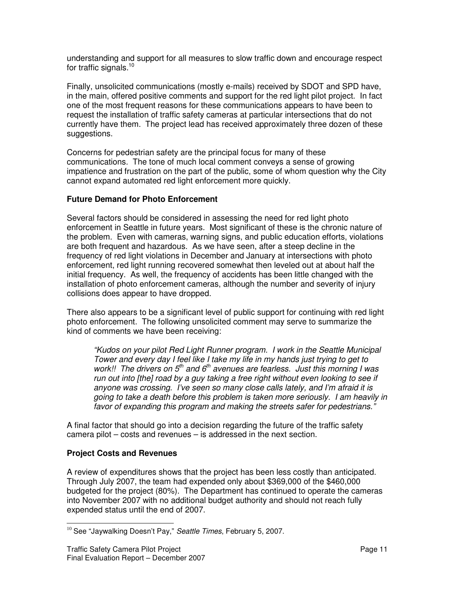understanding and support for all measures to slow traffic down and encourage respect for traffic signals.<sup>10</sup>

Finally, unsolicited communications (mostly e-mails) received by SDOT and SPD have, in the main, offered positive comments and support for the red light pilot project. In fact one of the most frequent reasons for these communications appears to have been to request the installation of traffic safety cameras at particular intersections that do not currently have them. The project lead has received approximately three dozen of these suggestions.

Concerns for pedestrian safety are the principal focus for many of these communications. The tone of much local comment conveys a sense of growing impatience and frustration on the part of the public, some of whom question why the City cannot expand automated red light enforcement more quickly.

### **Future Demand for Photo Enforcement**

Several factors should be considered in assessing the need for red light photo enforcement in Seattle in future years. Most significant of these is the chronic nature of the problem. Even with cameras, warning signs, and public education efforts, violations are both frequent and hazardous. As we have seen, after a steep decline in the frequency of red light violations in December and January at intersections with photo enforcement, red light running recovered somewhat then leveled out at about half the initial frequency. As well, the frequency of accidents has been little changed with the installation of photo enforcement cameras, although the number and severity of injury collisions does appear to have dropped.

There also appears to be a significant level of public support for continuing with red light photo enforcement. The following unsolicited comment may serve to summarize the kind of comments we have been receiving:

*"Kudos on your pilot Red Light Runner program. I work in the Seattle Municipal Tower and every day I feel like I take my life in my hands just trying to get to work!! The drivers on 5 th and 6 th avenues are fearless. Just this morning I was run out into [the] road by a guy taking a free right without even looking to see if anyone was crossing. I've seen so many close calls lately, and I'm afraid it is going to take a death before this problem is taken more seriously. I am heavily in favor of expanding this program and making the streets safer for pedestrians."*

A final factor that should go into a decision regarding the future of the traffic safety camera pilot – costs and revenues – is addressed in the next section.

## **Project Costs and Revenues**

A review of expenditures shows that the project has been less costly than anticipated. Through July 2007, the team had expended only about \$369,000 of the \$460,000 budgeted for the project (80%). The Department has continued to operate the cameras into November 2007 with no additional budget authority and should not reach fully expended status until the end of 2007.

<sup>10</sup> See "Jaywalking Doesn't Pay," *Seattle Times*, February 5, 2007.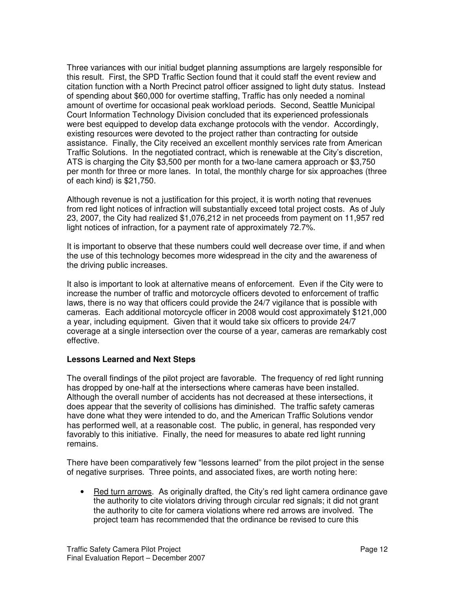Three variances with our initial budget planning assumptions are largely responsible for this result. First, the SPD Traffic Section found that it could staff the event review and citation function with a North Precinct patrol officer assigned to light duty status. Instead of spending about \$60,000 for overtime staffing, Traffic has only needed a nominal amount of overtime for occasional peak workload periods. Second, Seattle Municipal Court Information Technology Division concluded that its experienced professionals were best equipped to develop data exchange protocols with the vendor. Accordingly, existing resources were devoted to the project rather than contracting for outside assistance. Finally, the City received an excellent monthly services rate from American Traffic Solutions. In the negotiated contract, which is renewable at the City's discretion, ATS is charging the City \$3,500 per month for a two-lane camera approach or \$3,750 per month for three or more lanes. In total, the monthly charge for six approaches (three of each kind) is \$21,750.

Although revenue is not a justification for this project, it is worth noting that revenues from red light notices of infraction will substantially exceed total project costs. As of July 23, 2007, the City had realized \$1,076,212 in net proceeds from payment on 11,957 red light notices of infraction, for a payment rate of approximately 72.7%.

It is important to observe that these numbers could well decrease over time, if and when the use of this technology becomes more widespread in the city and the awareness of the driving public increases.

It also is important to look at alternative means of enforcement. Even if the City were to increase the number of traffic and motorcycle officers devoted to enforcement of traffic laws, there is no way that officers could provide the 24/7 vigilance that is possible with cameras. Each additional motorcycle officer in 2008 would cost approximately \$121,000 a year, including equipment. Given that it would take six officers to provide 24/7 coverage at a single intersection over the course of a year, cameras are remarkably cost effective.

#### **Lessons Learned and Next Steps**

The overall findings of the pilot project are favorable. The frequency of red light running has dropped by one-half at the intersections where cameras have been installed. Although the overall number of accidents has not decreased at these intersections, it does appear that the severity of collisions has diminished. The traffic safety cameras have done what they were intended to do, and the American Traffic Solutions vendor has performed well, at a reasonable cost. The public, in general, has responded very favorably to this initiative. Finally, the need for measures to abate red light running remains.

There have been comparatively few "lessons learned" from the pilot project in the sense of negative surprises. Three points, and associated fixes, are worth noting here:

• Red turn arrows. As originally drafted, the City's red light camera ordinance gave the authority to cite violators driving through circular red signals; it did not grant the authority to cite for camera violations where red arrows are involved. The project team has recommended that the ordinance be revised to cure this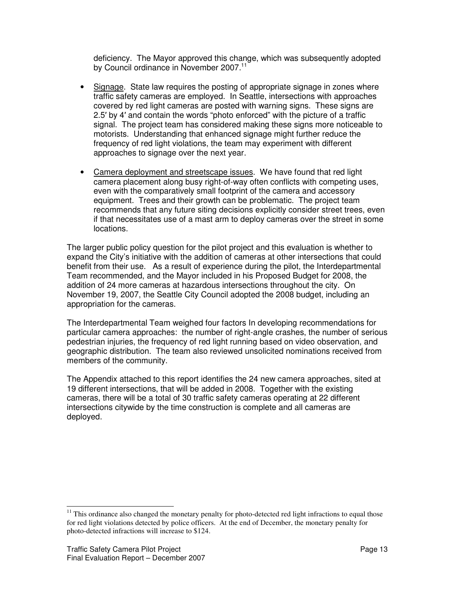deficiency. The Mayor approved this change, which was subsequently adopted by Council ordinance in November 2007.<sup>11</sup>

- Signage. State law requires the posting of appropriate signage in zones where traffic safety cameras are employed. In Seattle, intersections with approaches covered by red light cameras are posted with warning signs. These signs are 2.5' by 4' and contain the words "photo enforced" with the picture of a traffic signal. The project team has considered making these signs more noticeable to motorists. Understanding that enhanced signage might further reduce the frequency of red light violations, the team may experiment with different approaches to signage over the next year.
- Camera deployment and streetscape issues. We have found that red light camera placement along busy right-of-way often conflicts with competing uses, even with the comparatively small footprint of the camera and accessory equipment. Trees and their growth can be problematic. The project team recommends that any future siting decisions explicitly consider street trees, even if that necessitates use of a mast arm to deploy cameras over the street in some locations.

The larger public policy question for the pilot project and this evaluation is whether to expand the City's initiative with the addition of cameras at other intersections that could benefit from their use. As a result of experience during the pilot, the Interdepartmental Team recommended, and the Mayor included in his Proposed Budget for 2008, the addition of 24 more cameras at hazardous intersections throughout the city. On November 19, 2007, the Seattle City Council adopted the 2008 budget, including an appropriation for the cameras.

The Interdepartmental Team weighed four factors In developing recommendations for particular camera approaches: the number of right-angle crashes, the number of serious pedestrian injuries, the frequency of red light running based on video observation, and geographic distribution. The team also reviewed unsolicited nominations received from members of the community.

The Appendix attached to this report identifies the 24 new camera approaches, sited at 19 different intersections, that will be added in 2008. Together with the existing cameras, there will be a total of 30 traffic safety cameras operating at 22 different intersections citywide by the time construction is complete and all cameras are deployed.

 $11$  This ordinance also changed the monetary penalty for photo-detected red light infractions to equal those for red light violations detected by police officers. At the end of December, the monetary penalty for photo-detected infractions will increase to \$124.